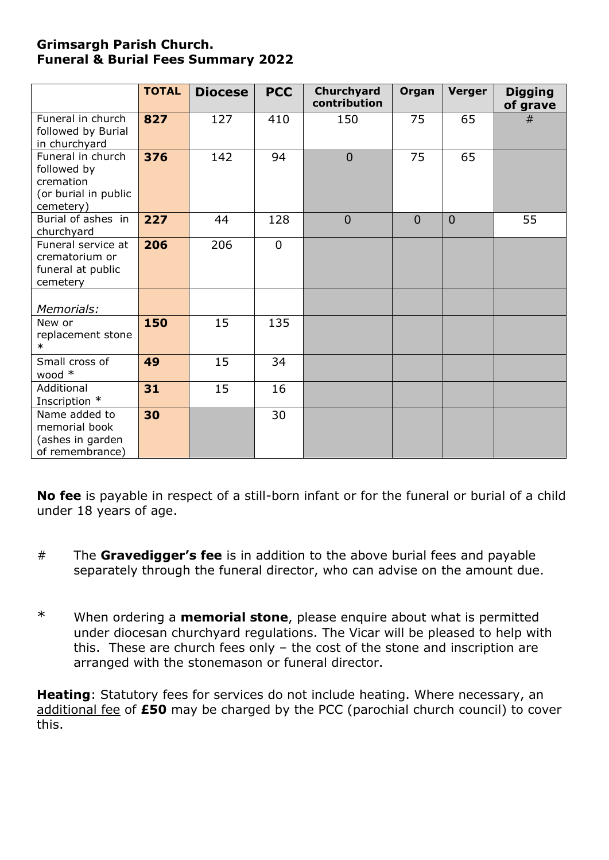## **Grimsargh Parish Church. Funeral & Burial Fees Summary 2022**

|                                                                                    | <b>TOTAL</b> | <b>Diocese</b> | <b>PCC</b>     | Churchyard<br>contribution | Organ          | <b>Verger</b> | <b>Digging</b><br>of grave |
|------------------------------------------------------------------------------------|--------------|----------------|----------------|----------------------------|----------------|---------------|----------------------------|
| Funeral in church<br>followed by Burial<br>in churchyard                           | 827          | 127            | 410            | 150                        | 75             | 65            | #                          |
| Funeral in church<br>followed by<br>cremation<br>(or burial in public<br>cemetery) | 376          | 142            | 94             | $\overline{0}$             | 75             | 65            |                            |
| Burial of ashes in<br>churchyard                                                   | 227          | 44             | 128            | $\overline{0}$             | $\overline{0}$ | $\Omega$      | 55                         |
| Funeral service at<br>crematorium or<br>funeral at public<br>cemetery              | 206          | 206            | $\overline{0}$ |                            |                |               |                            |
| Memorials:                                                                         |              |                |                |                            |                |               |                            |
| New or<br>replacement stone<br>$\ast$                                              | 150          | 15             | 135            |                            |                |               |                            |
| Small cross of<br>wood *                                                           | 49           | 15             | 34             |                            |                |               |                            |
| Additional<br>Inscription *                                                        | 31           | 15             | 16             |                            |                |               |                            |
| Name added to<br>memorial book<br>(ashes in garden<br>of remembrance)              | 30           |                | 30             |                            |                |               |                            |

**No fee** is payable in respect of a still-born infant or for the funeral or burial of a child under 18 years of age.

- # The **Gravedigger's fee** is in addition to the above burial fees and payable separately through the funeral director, who can advise on the amount due.
- \* When ordering a **memorial stone**, please enquire about what is permitted under diocesan churchyard regulations. The Vicar will be pleased to help with this. These are church fees only – the cost of the stone and inscription are arranged with the stonemason or funeral director.

**Heating**: Statutory fees for services do not include heating. Where necessary, an additional fee of **£50** may be charged by the PCC (parochial church council) to cover this.